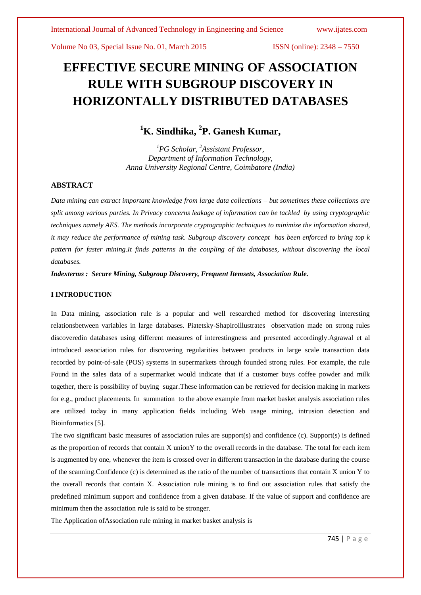# **EFFECTIVE SECURE MINING OF ASSOCIATION RULE WITH SUBGROUP DISCOVERY IN HORIZONTALLY DISTRIBUTED DATABASES**

## **<sup>1</sup>K. Sindhika, 2 P. Ganesh Kumar,**

*<sup>1</sup>PG Scholar, <sup>2</sup>Assistant Professor, Department of Information Technology, Anna University Regional Centre, Coimbatore (India)*

### **ABSTRACT**

*Data mining can extract important knowledge from large data collections – but sometimes these collections are split among various parties. In Privacy concerns leakage of information can be tackled by using cryptographic techniques namely AES. The methods incorporate cryptographic techniques to minimize the information shared, it may reduce the performance of mining task. Subgroup discovery concept has been enforced to bring top k pattern for faster mining.It finds patterns in the coupling of the databases, without discovering the local databases.*

*Indexterms : Secure Mining, Subgroup Discovery, Frequent Itemsets, Association Rule.*

#### **I INTRODUCTION**

In Data mining, association rule is a popular and well researched method for discovering interesting relationsbetween variables in large databases. Piatetsky-Shapiroillustrates observation made on strong rules discoveredin databases using different measures of interestingness and presented accordingly.Agrawal et al introduced association rules for discovering regularities between products in large scale transaction data recorded by point-of-sale (POS) systems in supermarkets through founded strong rules. For example, the rule Found in the sales data of a supermarket would indicate that if a customer buys coffee powder and milk together, there is possibility of buying sugar.These information can be retrieved for decision making in markets for e.g., product placements. In summation to the above example from market basket analysis association rules are utilized today in many application fields including Web usage mining, intrusion detection and Bioinformatics [5].

The two significant basic measures of association rules are support(s) and confidence (c). Support(s) is defined as the proportion of records that contain X unionY to the overall records in the database. The total for each item is augmented by one, whenever the item is crossed over in different transaction in the database during the course of the scanning.Confidence (c) is determined as the ratio of the number of transactions that contain X union Y to the overall records that contain X. Association rule mining is to find out association rules that satisfy the predefined minimum support and confidence from a given database. If the value of support and confidence are minimum then the association rule is said to be stronger.

The Application ofAssociation rule mining in market basket analysis is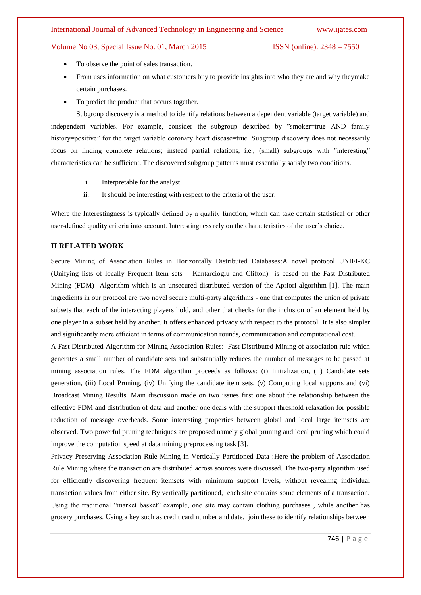#### International Journal of Advanced Technology in Engineering and Science www.ijates.com

#### Volume No 03, Special Issue No. 01, March 2015 ISSN (online): 2348 – 7550

- To observe the point of sales transaction.
- From uses information on what customers buy to provide insights into who they are and why theymake certain purchases.
- To predict the product that occurs together.

Subgroup discovery is a method to identify relations between a dependent variable (target variable) and independent variables. For example, consider the subgroup described by "smoker=true AND family history=positive" for the target variable coronary heart disease=true. Subgroup discovery does not necessarily focus on finding complete relations; instead partial relations, i.e., (small) subgroups with "interesting" characteristics can be sufficient. The discovered subgroup patterns must essentially satisfy two conditions.

- i. Interpretable for the analyst
- ii. It should be interesting with respect to the criteria of the user.

Where the Interestingness is typically defined by a quality function, which can take certain statistical or other user-defined quality criteria into account. Interestingness rely on the characteristics of the user's choice.

#### **II RELATED WORK**

Secure Mining of Association Rules in Horizontally Distributed Databases:A novel protocol UNIFI-KC (Unifying lists of locally Frequent Item sets— Kantarcioglu and Clifton) is based on the Fast Distributed Mining (FDM) Algorithm which is an unsecured distributed version of the Apriori algorithm [1]. The main ingredients in our protocol are two novel secure multi-party algorithms - one that computes the union of private subsets that each of the interacting players hold, and other that checks for the inclusion of an element held by one player in a subset held by another. It offers enhanced privacy with respect to the protocol. It is also simpler and significantly more efficient in terms of communication rounds, communication and computational cost.

A Fast Distributed Algorithm for Mining Association Rules: Fast Distributed Mining of association rule which generates a small number of candidate sets and substantially reduces the number of messages to be passed at mining association rules. The FDM algorithm proceeds as follows: (i) Initialization, (ii) Candidate sets generation, (iii) Local Pruning, (iv) Unifying the candidate item sets, (v) Computing local supports and (vi) Broadcast Mining Results. Main discussion made on two issues first one about the relationship between the effective FDM and distribution of data and another one deals with the support threshold relaxation for possible reduction of message overheads. Some interesting properties between global and local large itemsets are observed. Two powerful pruning techniques are proposed namely global pruning and local pruning which could improve the computation speed at data mining preprocessing task [3].

Privacy Preserving Association Rule Mining in Vertically Partitioned Data :Here the problem of Association Rule Mining where the transaction are distributed across sources were discussed. The two-party algorithm used for efficiently discovering frequent itemsets with minimum support levels, without revealing individual transaction values from either site. By vertically partitioned, each site contains some elements of a transaction. Using the traditional "market basket" example, one site may contain clothing purchases, while another has grocery purchases. Using a key such as credit card number and date, join these to identify relationships between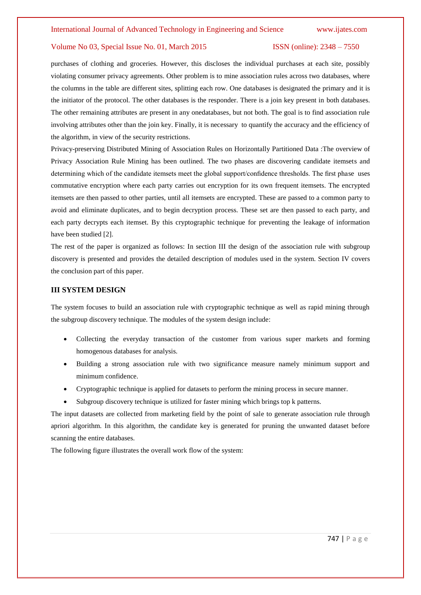#### Volume No 03, Special Issue No. 01, March 2015 ISSN (online): 2348 – 7550

purchases of clothing and groceries. However, this discloses the individual purchases at each site, possibly violating consumer privacy agreements. Other problem is to mine association rules across two databases, where the columns in the table are different sites, splitting each row. One databases is designated the primary and it is the initiator of the protocol. The other databases is the responder. There is a join key present in both databases. The other remaining attributes are present in any onedatabases, but not both. The goal is to find association rule involving attributes other than the join key. Finally, it is necessary to quantify the accuracy and the efficiency of the algorithm, in view of the security restrictions.

Privacy-preserving Distributed Mining of Association Rules on Horizontally Partitioned Data :The overview of Privacy Association Rule Mining has been outlined. The two phases are discovering candidate itemsets and determining which of the candidate itemsets meet the global support/confidence thresholds. The first phase uses commutative encryption where each party carries out encryption for its own frequent itemsets. The encrypted itemsets are then passed to other parties, until all itemsets are encrypted. These are passed to a common party to avoid and eliminate duplicates, and to begin decryption process. These set are then passed to each party, and each party decrypts each itemset. By this cryptographic technique for preventing the leakage of information have been studied [2].

The rest of the paper is organized as follows: In section III the design of the association rule with subgroup discovery is presented and provides the detailed description of modules used in the system. Section IV covers the conclusion part of this paper.

#### **III SYSTEM DESIGN**

The system focuses to build an association rule with cryptographic technique as well as rapid mining through the subgroup discovery technique. The modules of the system design include:

- Collecting the everyday transaction of the customer from various super markets and forming homogenous databases for analysis.
- Building a strong association rule with two significance measure namely minimum support and minimum confidence.
- Cryptographic technique is applied for datasets to perform the mining process in secure manner.
- Subgroup discovery technique is utilized for faster mining which brings top k patterns.

The input datasets are collected from marketing field by the point of sale to generate association rule through apriori algorithm. In this algorithm, the candidate key is generated for pruning the unwanted dataset before scanning the entire databases.

The following figure illustrates the overall work flow of the system: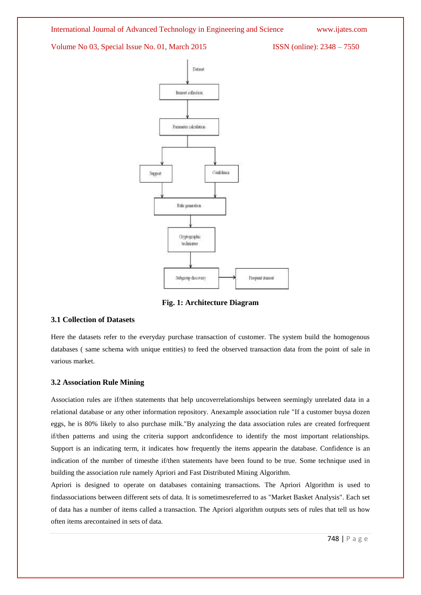Volume No 03, Special Issue No. 01, March 2015 ISSN (online): 2348 – 7550



**Fig. 1: Architecture Diagram**

#### **3.1 Collection of Datasets**

Here the datasets refer to the everyday purchase transaction of customer. The system build the homogenous databases ( same schema with unique entities) to feed the observed transaction data from the point of sale in various market.

#### **3.2 Association Rule Mining**

Association rules are if/then statements that help uncoverrelationships between seemingly unrelated data in a relational database or any other information repository. Anexample association rule "If a customer buysa dozen eggs, he is 80% likely to also purchase milk."By analyzing the data association rules are created forfrequent if/then patterns and using the criteria support andconfidence to identify the most important relationships. Support is an indicating term, it indicates how frequently the items appearin the database. Confidence is an indication of the number of timesthe if/then statements have been found to be true. Some technique used in building the association rule namely Apriori and Fast Distributed Mining Algorithm.

Apriori is designed to operate on databases containing transactions. The Apriori Algorithm is used to findassociations between different sets of data. It is sometimesreferred to as "Market Basket Analysis". Each set of data has a number of items called a transaction. The Apriori algorithm outputs sets of rules that tell us how often items arecontained in sets of data.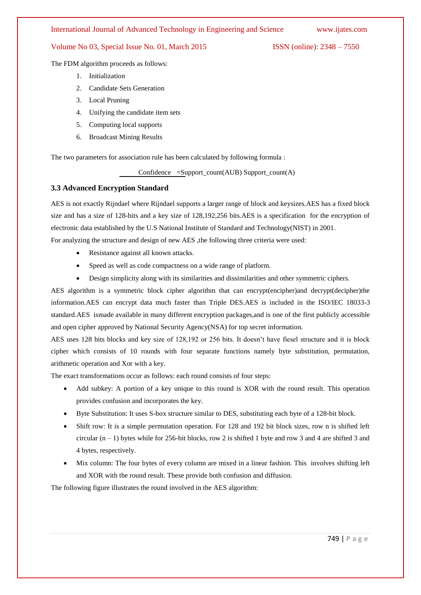#### International Journal of Advanced Technology in Engineering and Science www.ijates.com

#### Volume No 03, Special Issue No. 01, March 2015 ISSN (online): 2348 – 7550

The FDM algorithm proceeds as follows:

- 1. Initialization
- 2. Candidate Sets Generation
- 3. Local Pruning
- 4. Unifying the candidate item sets
- 5. Computing local supports
- 6. Broadcast Mining Results

The two parameters for association rule has been calculated by following formula :

Confidence =Support\_count(AUB) Support\_count(A)

#### **3.3 Advanced Encryption Standard**

AES is not exactly Rijndael where Rijndael supports a larger range of block and keysizes.AES has a fixed block size and has a size of 128-bits and a key size of 128,192,256 bits.AES is a specification for the encryption of electronic data established by the U.S National Institute of Standard and Technology(NIST) in 2001. For analyzing the structure and design of new AES ,the following three criteria were used:

- Resistance against all known attacks.
- Speed as well as code compactness on a wide range of platform.
- Design simplicity along with its similarities and dissimilarities and other symmetric ciphers.

AES algorithm is a symmetric block cipher algorithm that can encrypt(encipher)and decrypt(decipher)the information.AES can encrypt data much faster than Triple DES.AES is included in the ISO/IEC 18033-3 standard.AES ismade available in many different encryption packages,and is one of the first publicly accessible and open cipher approved by National Security Agency(NSA) for top secret information.

AES uses 128 bits blocks and key size of 128,192 or 256 bits. It doesn't have fiesel structure and it is block cipher which consists of 10 rounds with four separate functions namely byte substitution, permutation, arithmetic operation and Xor with a key.

The exact transformations occur as follows: each round consists of four steps:

- Add subkey: A portion of a key unique to this round is XOR with the round result. This operation provides confusion and incorporates the key.
- Byte Substitution: It uses S-box structure similar to DES, substituting each byte of a 128-bit block.
- Shift row: It is a simple permutation operation. For 128 and 192 bit block sizes, row n is shifted left circular  $(n - 1)$  bytes while for 256-bit blocks, row 2 is shifted 1 byte and row 3 and 4 are shifted 3 and 4 bytes, respectively.
- Mix column: The four bytes of every column are mixed in a linear fashion. This involves shifting left and XOR with the round result. These provide both confusion and diffusion.

The following figure illustrates the round involved in the AES algorithm: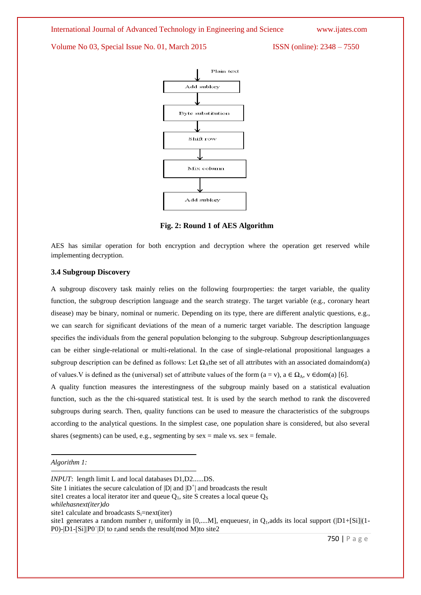International Journal of Advanced Technology in Engineering and Science www.ijates.com

Volume No 03, Special Issue No. 01, March 2015 ISSN (online): 2348 – 7550



**Fig. 2: Round 1 of AES Algorithm**

AES has similar operation for both encryption and decryption where the operation get reserved while implementing decryption.

#### **3.4 Subgroup Discovery**

A subgroup discovery task mainly relies on the following fourproperties: the target variable, the quality function, the subgroup description language and the search strategy. The target variable (e.g., coronary heart disease) may be binary, nominal or numeric. Depending on its type, there are different analytic questions, e.g., we can search for significant deviations of the mean of a numeric target variable. The description language specifies the individuals from the general population belonging to the subgroup. Subgroup descriptionlanguages can be either single-relational or multi-relational. In the case of single-relational propositional languages a subgroup description can be defined as follows: Let  $\Omega_A$ the set of all attributes with an associated domaindom(a) of values. V is defined as the (universal) set of attribute values of the form (a = v),  $a \in \Omega_A$ , v ∈dom(a) [6].

A quality function measures the interestingness of the subgroup mainly based on a statistical evaluation function, such as the the chi-squared statistical test. It is used by the search method to rank the discovered subgroups during search. Then, quality functions can be used to measure the characteristics of the subgroups according to the analytical questions. In the simplest case, one population share is considered, but also several shares (segments) can be used, e.g., segmenting by  $sex = male vs. sex = female$ .

Site 1 initiates the secure calculation of  $|D|$  and  $|D^+|$  and broadcasts the result

*Algorithm 1:*

*INPUT*: length limit L and local databases D1,D2......DS.

site1 creates a local iterator iter and queue  $Q_1$ , site S creates a local queue  $Q_S$ *whilehasnext(iter)do*

site1 calculate and broadcasts  $S_i = next(iter)$ 

site1 generates a random number  $r_i$  uniformly in [0,....M], enqueues $r_i$  in  $Q_i$ , adds its local support ( $[D1+[Si]](1-$ P0)- $|D1-[Si]|P0|$  to r<sub>i</sub>and sends the result(mod M)to site2